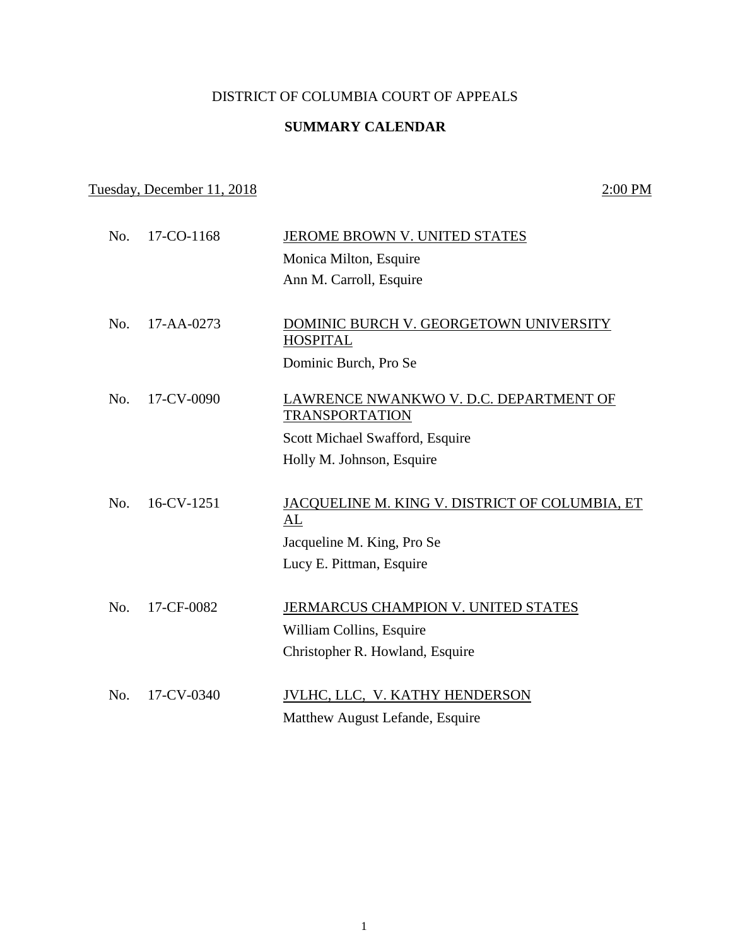### DISTRICT OF COLUMBIA COURT OF APPEALS

### **SUMMARY CALENDAR**

## Tuesday, December 11, 2018 2:00 PM

| No. | 17-CO-1168       | JEROME BROWN V. UNITED STATES                                   |
|-----|------------------|-----------------------------------------------------------------|
|     |                  | Monica Milton, Esquire                                          |
|     |                  | Ann M. Carroll, Esquire                                         |
|     |                  |                                                                 |
| No. | $17 - AA - 0273$ | DOMINIC BURCH V. GEORGETOWN UNIVERSITY<br><b>HOSPITAL</b>       |
|     |                  | Dominic Burch, Pro Se                                           |
| No. | 17-CV-0090       | LAWRENCE NWANKWO V. D.C. DEPARTMENT OF<br><b>TRANSPORTATION</b> |
|     |                  | Scott Michael Swafford, Esquire                                 |
|     |                  | Holly M. Johnson, Esquire                                       |
|     |                  |                                                                 |
| No. | 16-CV-1251       | JACQUELINE M. KING V. DISTRICT OF COLUMBIA, ET<br>AL            |
|     |                  | Jacqueline M. King, Pro Se                                      |
|     |                  | Lucy E. Pittman, Esquire                                        |
| No. | 17-CF-0082       | JERMARCUS CHAMPION V. UNITED STATES                             |
|     |                  | William Collins, Esquire                                        |
|     |                  | Christopher R. Howland, Esquire                                 |
| No. | 17-CV-0340       | JVLHC, LLC, V. KATHY HENDERSON                                  |
|     |                  |                                                                 |
|     |                  | Matthew August Lefande, Esquire                                 |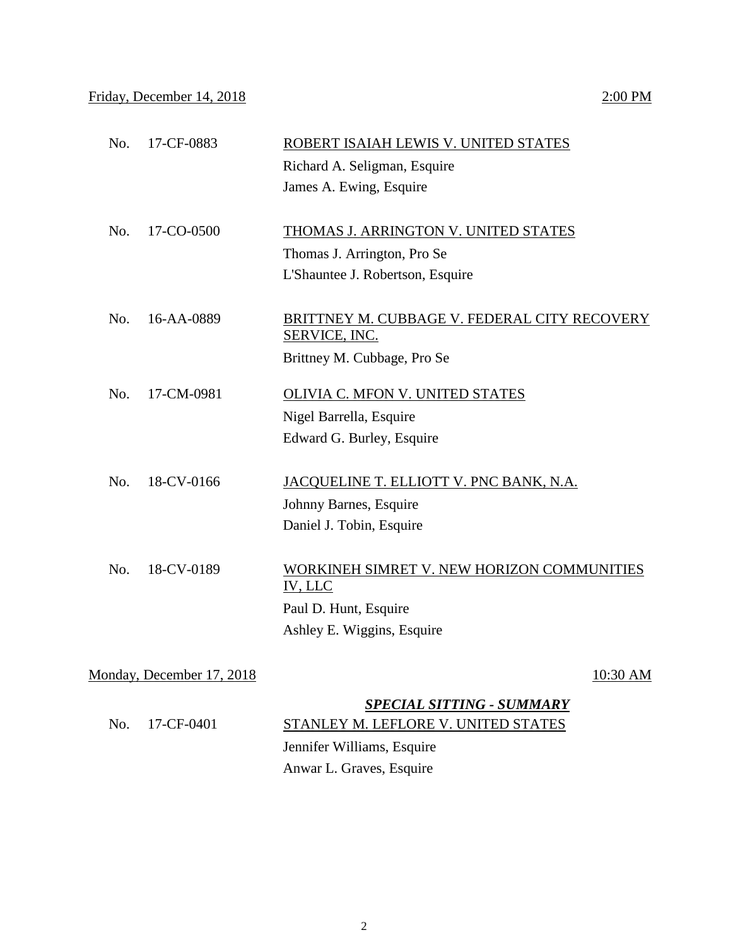|                           | Richard A. Seligman, Esquire                 |
|---------------------------|----------------------------------------------|
|                           | James A. Ewing, Esquire                      |
|                           |                                              |
| No.<br>17-CO-0500         | THOMAS J. ARRINGTON V. UNITED STATES         |
|                           | Thomas J. Arrington, Pro Se                  |
|                           | L'Shauntee J. Robertson, Esquire             |
|                           |                                              |
| No.<br>16-AA-0889         | BRITTNEY M. CUBBAGE V. FEDERAL CITY RECOVERY |
|                           | <b>SERVICE, INC.</b>                         |
|                           | Brittney M. Cubbage, Pro Se                  |
| No.<br>17-CM-0981         | OLIVIA C. MFON V. UNITED STATES              |
|                           | Nigel Barrella, Esquire                      |
|                           | Edward G. Burley, Esquire                    |
|                           |                                              |
| 18-CV-0166<br>No.         | JACQUELINE T. ELLIOTT V. PNC BANK, N.A.      |
|                           | Johnny Barnes, Esquire                       |
|                           | Daniel J. Tobin, Esquire                     |
|                           |                                              |
| 18-CV-0189<br>No.         | WORKINEH SIMRET V. NEW HORIZON COMMUNITIES   |
|                           | IV, LLC                                      |
|                           | Paul D. Hunt, Esquire                        |
|                           | Ashley E. Wiggins, Esquire                   |
|                           |                                              |
| Monday, December 17, 2018 | 10:30 AM                                     |

No. 17-CF-0883 ROBERT ISAIAH LEWIS V. UNITED STATES

# *SPECIAL SITTING - SUMMARY* No. 17-CF-0401 STANLEY M. LEFLORE V. UNITED STATES Jennifer Williams, Esquire Anwar L. Graves, Esquire